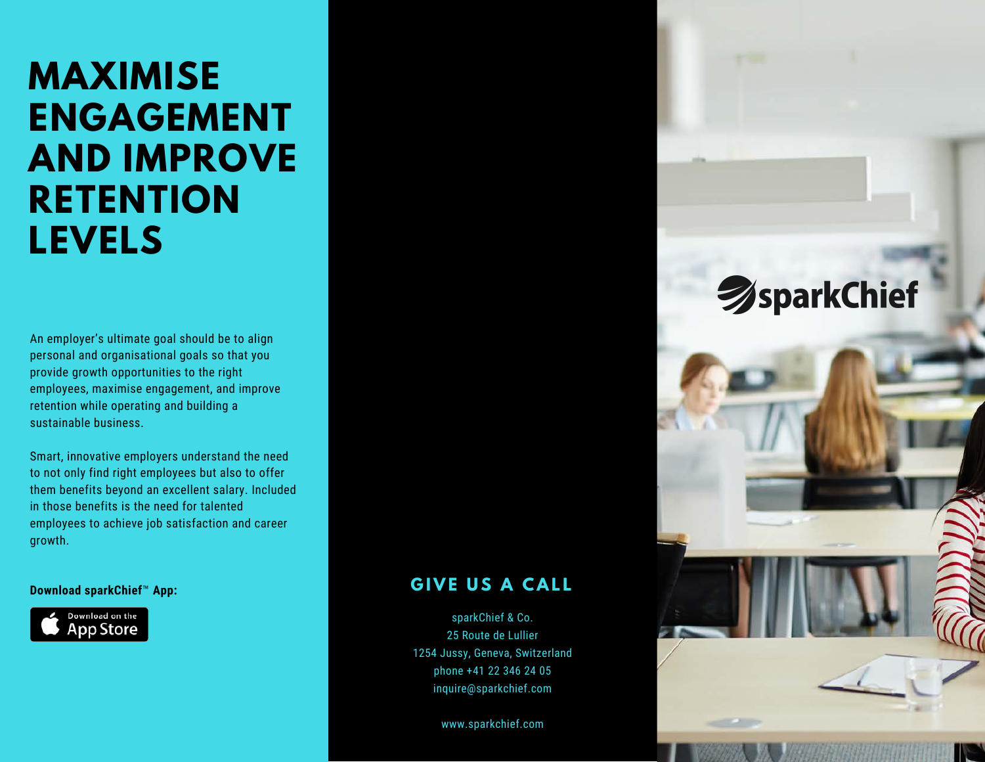# **MAXIMISE ENGAGEMENT AND IMPROVE RETENTION LEVELS**

An employer's ultimate goal should be to align personal and organisational goals so that you provide growth opportunities to the right employees, maximise engagement, and improve retention while operating and building a sustainable business.

Smart, innovative employers understand the need to not only find right employees but also to offer them benefits beyond an excellent salary. Included in those benefits is the need for talented employees to achieve job satisfaction and career growth.



#### **Download sparkChief™ App: GIVE US A CALL**

sparkChief & Co. 25 Route de Lullier 1254 Jussy, Geneva, Switzerland phone +41 22 346 24 05 inquire@sparkchief.com

www.sparkchief.com

# **SparkChief**